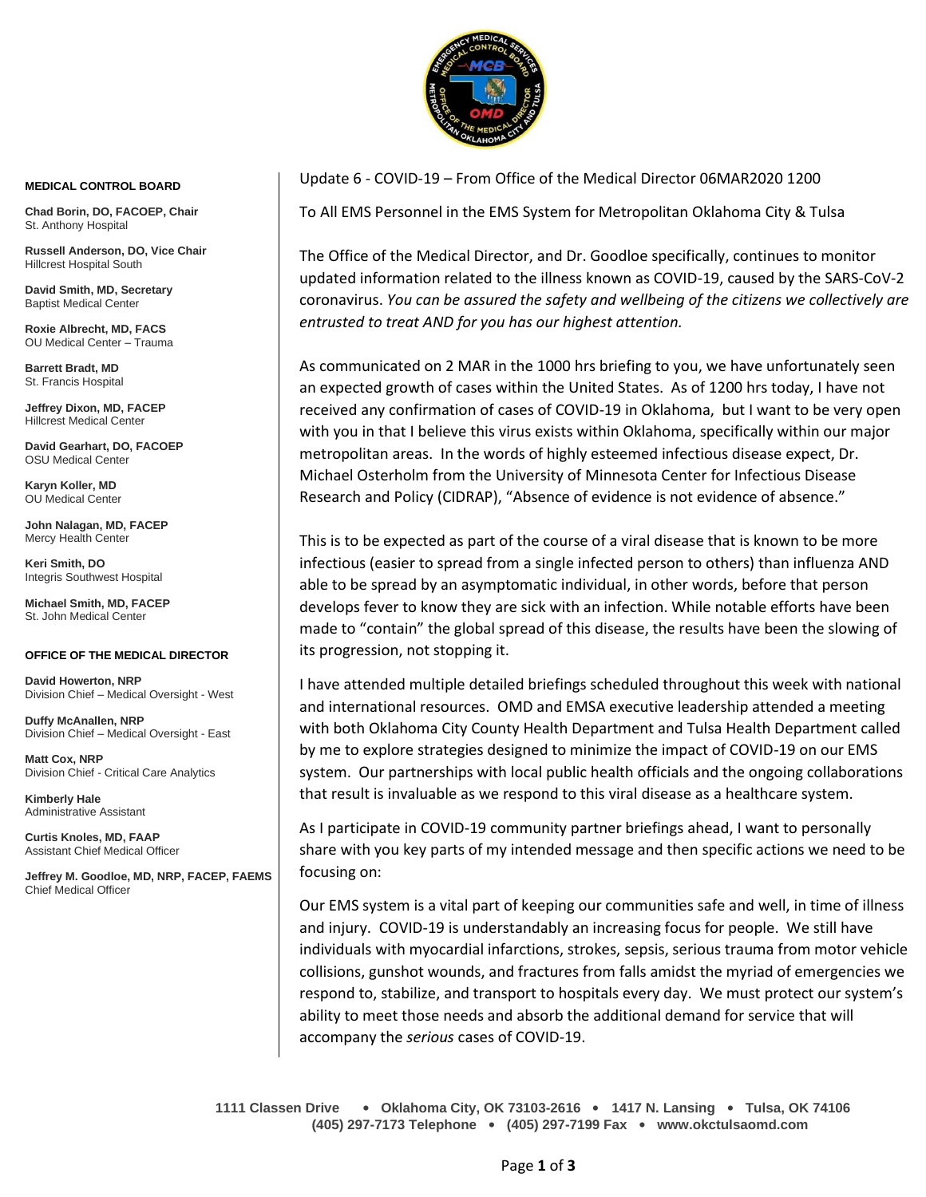

## **MEDICAL CONTROL BOARD**

**Chad Borin, DO, FACOEP, Chair**  St. Anthony Hospital

**Russell Anderson, DO, Vice Chair** Hillcrest Hospital South

**David Smith, MD, Secretary** Baptist Medical Center

**Roxie Albrecht, MD, FACS** OU Medical Center – Trauma

**Barrett Bradt, MD** St. Francis Hospital

**Jeffrey Dixon, MD, FACEP** Hillcrest Medical Center

**David Gearhart, DO, FACOEP** OSU Medical Center

**Karyn Koller, MD** OU Medical Center

**John Nalagan, MD, FACEP** Mercy Health Center

**Keri Smith, DO** Integris Southwest Hospital

**Michael Smith, MD, FACEP** St. John Medical Center

## **OFFICE OF THE MEDICAL DIRECTOR**

**David Howerton, NRP** Division Chief – Medical Oversight - West

**Duffy McAnallen, NRP** Division Chief – Medical Oversight - East

**Matt Cox, NRP** Division Chief - Critical Care Analytics

**Kimberly Hale** Administrative Assistant

**Curtis Knoles, MD, FAAP** Assistant Chief Medical Officer

**Jeffrey M. Goodloe, MD, NRP, FACEP, FAEMS** Chief Medical Officer

## Update 6 - COVID-19 – From Office of the Medical Director 06MAR2020 1200

To All EMS Personnel in the EMS System for Metropolitan Oklahoma City & Tulsa

The Office of the Medical Director, and Dr. Goodloe specifically, continues to monitor updated information related to the illness known as COVID-19, caused by the SARS-CoV-2 coronavirus. *You can be assured the safety and wellbeing of the citizens we collectively are entrusted to treat AND for you has our highest attention.*

As communicated on 2 MAR in the 1000 hrs briefing to you, we have unfortunately seen an expected growth of cases within the United States. As of 1200 hrs today, I have not received any confirmation of cases of COVID-19 in Oklahoma, but I want to be very open with you in that I believe this virus exists within Oklahoma, specifically within our major metropolitan areas. In the words of highly esteemed infectious disease expect, Dr. Michael Osterholm from the University of Minnesota Center for Infectious Disease Research and Policy (CIDRAP), "Absence of evidence is not evidence of absence."

This is to be expected as part of the course of a viral disease that is known to be more infectious (easier to spread from a single infected person to others) than influenza AND able to be spread by an asymptomatic individual, in other words, before that person develops fever to know they are sick with an infection. While notable efforts have been made to "contain" the global spread of this disease, the results have been the slowing of its progression, not stopping it.

I have attended multiple detailed briefings scheduled throughout this week with national and international resources. OMD and EMSA executive leadership attended a meeting with both Oklahoma City County Health Department and Tulsa Health Department called by me to explore strategies designed to minimize the impact of COVID-19 on our EMS system. Our partnerships with local public health officials and the ongoing collaborations that result is invaluable as we respond to this viral disease as a healthcare system.

As I participate in COVID-19 community partner briefings ahead, I want to personally share with you key parts of my intended message and then specific actions we need to be focusing on:

Our EMS system is a vital part of keeping our communities safe and well, in time of illness and injury. COVID-19 is understandably an increasing focus for people. We still have individuals with myocardial infarctions, strokes, sepsis, serious trauma from motor vehicle collisions, gunshot wounds, and fractures from falls amidst the myriad of emergencies we respond to, stabilize, and transport to hospitals every day. We must protect our system's ability to meet those needs and absorb the additional demand for service that will accompany the *serious* cases of COVID-19.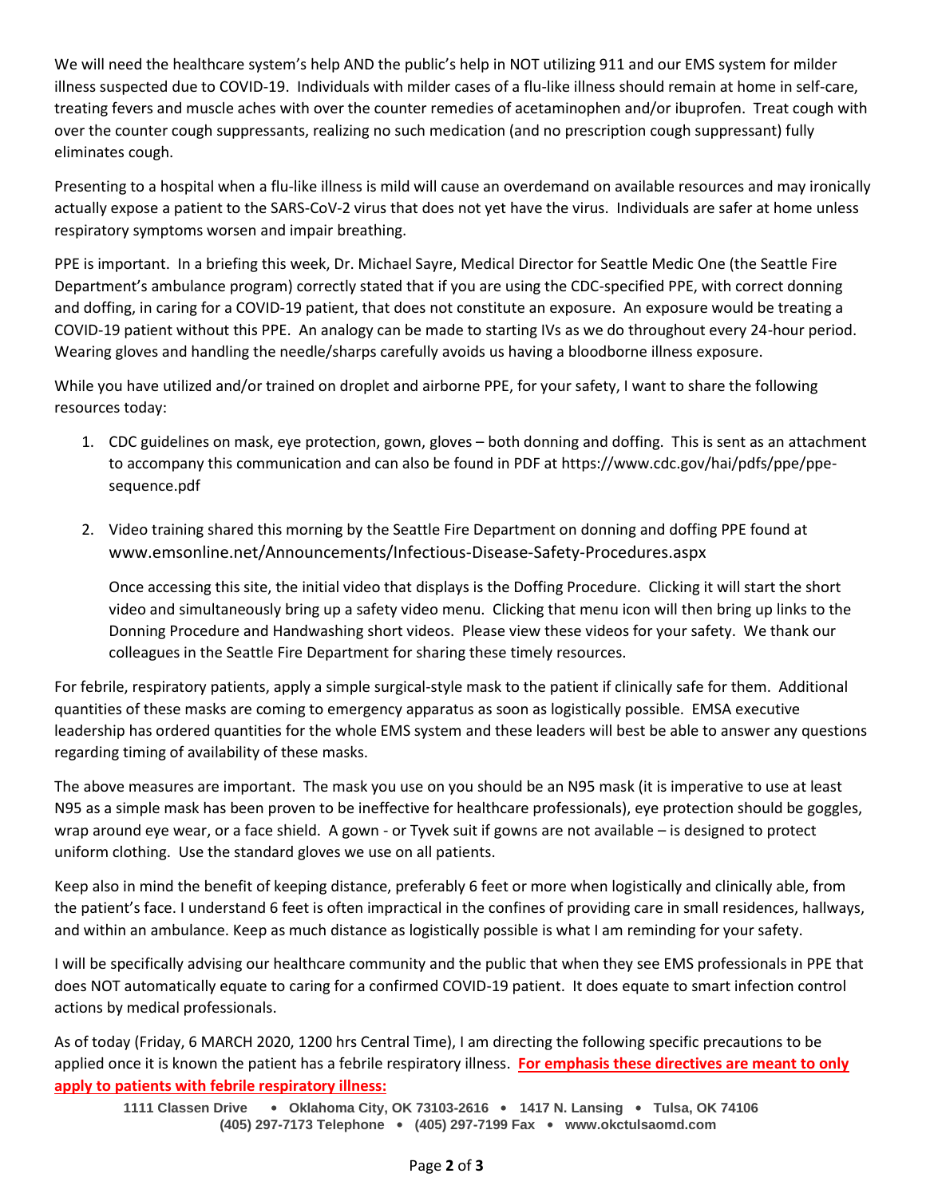We will need the healthcare system's help AND the public's help in NOT utilizing 911 and our EMS system for milder illness suspected due to COVID-19. Individuals with milder cases of a flu-like illness should remain at home in self-care, treating fevers and muscle aches with over the counter remedies of acetaminophen and/or ibuprofen. Treat cough with over the counter cough suppressants, realizing no such medication (and no prescription cough suppressant) fully eliminates cough.

Presenting to a hospital when a flu-like illness is mild will cause an overdemand on available resources and may ironically actually expose a patient to the SARS-CoV-2 virus that does not yet have the virus. Individuals are safer at home unless respiratory symptoms worsen and impair breathing.

PPE is important. In a briefing this week, Dr. Michael Sayre, Medical Director for Seattle Medic One (the Seattle Fire Department's ambulance program) correctly stated that if you are using the CDC-specified PPE, with correct donning and doffing, in caring for a COVID-19 patient, that does not constitute an exposure. An exposure would be treating a COVID-19 patient without this PPE. An analogy can be made to starting IVs as we do throughout every 24-hour period. Wearing gloves and handling the needle/sharps carefully avoids us having a bloodborne illness exposure.

While you have utilized and/or trained on droplet and airborne PPE, for your safety, I want to share the following resources today:

- 1. CDC guidelines on mask, eye protection, gown, gloves both donning and doffing. This is sent as an attachment to accompany this communication and can also be found in PDF at https://www.cdc.gov/hai/pdfs/ppe/ppesequence.pdf
- 2. Video training shared this morning by the Seattle Fire Department on donning and doffing PPE found at www.emsonline.net/Announcements/Infectious-Disease-Safety-Procedures.aspx

Once accessing this site, the initial video that displays is the Doffing Procedure. Clicking it will start the short video and simultaneously bring up a safety video menu. Clicking that menu icon will then bring up links to the Donning Procedure and Handwashing short videos. Please view these videos for your safety. We thank our colleagues in the Seattle Fire Department for sharing these timely resources.

For febrile, respiratory patients, apply a simple surgical-style mask to the patient if clinically safe for them. Additional quantities of these masks are coming to emergency apparatus as soon as logistically possible. EMSA executive leadership has ordered quantities for the whole EMS system and these leaders will best be able to answer any questions regarding timing of availability of these masks.

The above measures are important. The mask you use on you should be an N95 mask (it is imperative to use at least N95 as a simple mask has been proven to be ineffective for healthcare professionals), eye protection should be goggles, wrap around eye wear, or a face shield. A gown - or Tyvek suit if gowns are not available – is designed to protect uniform clothing. Use the standard gloves we use on all patients.

Keep also in mind the benefit of keeping distance, preferably 6 feet or more when logistically and clinically able, from the patient's face. I understand 6 feet is often impractical in the confines of providing care in small residences, hallways, and within an ambulance. Keep as much distance as logistically possible is what I am reminding for your safety.

I will be specifically advising our healthcare community and the public that when they see EMS professionals in PPE that does NOT automatically equate to caring for a confirmed COVID-19 patient. It does equate to smart infection control actions by medical professionals.

As of today (Friday, 6 MARCH 2020, 1200 hrs Central Time), I am directing the following specific precautions to be applied once it is known the patient has a febrile respiratory illness. **For emphasis these directives are meant to only apply to patients with febrile respiratory illness:**

**1111 Classen Drive** • **Oklahoma City, OK 73103-2616** • **1417 N. Lansing** • **Tulsa, OK 74106 (405) 297-7173 Telephone** • **(405) 297-7199 Fax** • **www.okctulsaomd.com**